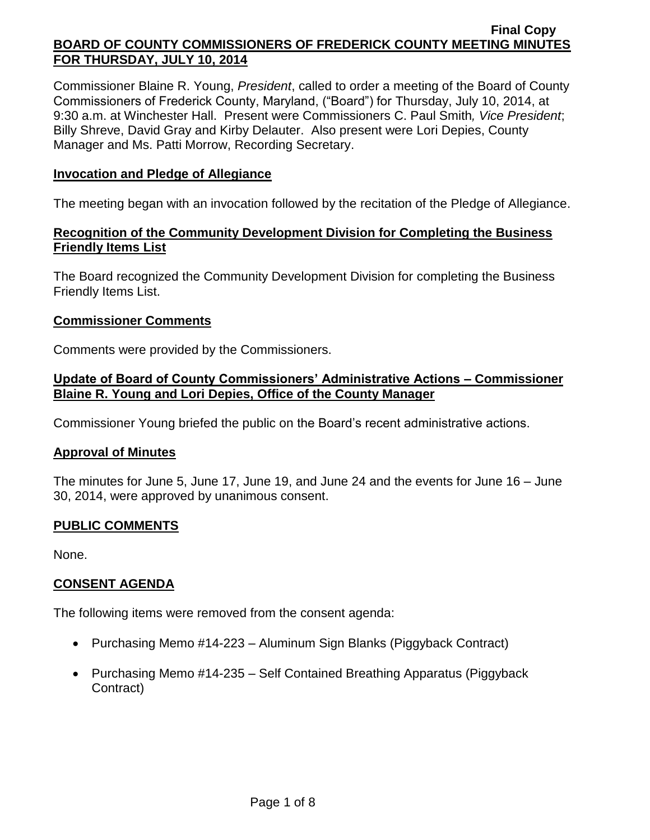Commissioner Blaine R. Young, *President*, called to order a meeting of the Board of County Commissioners of Frederick County, Maryland, ("Board") for Thursday, July 10, 2014, at 9:30 a.m. at Winchester Hall. Present were Commissioners C. Paul Smith*, Vice President*; Billy Shreve, David Gray and Kirby Delauter. Also present were Lori Depies, County Manager and Ms. Patti Morrow, Recording Secretary.

### **Invocation and Pledge of Allegiance**

The meeting began with an invocation followed by the recitation of the Pledge of Allegiance.

# **Recognition of the Community Development Division for Completing the Business Friendly Items List**

The Board recognized the Community Development Division for completing the Business Friendly Items List.

### **Commissioner Comments**

Comments were provided by the Commissioners.

# **Update of Board of County Commissioners' Administrative Actions – Commissioner Blaine R. Young and Lori Depies, Office of the County Manager**

Commissioner Young briefed the public on the Board's recent administrative actions.

#### **Approval of Minutes**

The minutes for June 5, June 17, June 19, and June 24 and the events for June 16 – June 30, 2014, were approved by unanimous consent.

# **PUBLIC COMMENTS**

None.

# **CONSENT AGENDA**

The following items were removed from the consent agenda:

- Purchasing Memo #14-223 Aluminum Sign Blanks (Piggyback Contract)
- Purchasing Memo #14-235 Self Contained Breathing Apparatus (Piggyback Contract)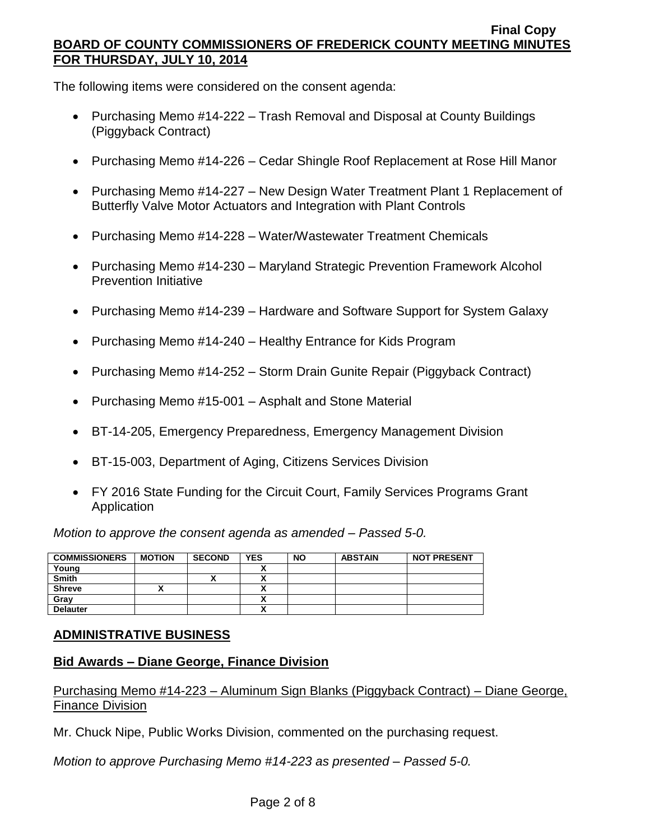The following items were considered on the consent agenda:

- Purchasing Memo #14-222 Trash Removal and Disposal at County Buildings (Piggyback Contract)
- Purchasing Memo #14-226 Cedar Shingle Roof Replacement at Rose Hill Manor
- Purchasing Memo #14-227 New Design Water Treatment Plant 1 Replacement of Butterfly Valve Motor Actuators and Integration with Plant Controls
- Purchasing Memo #14-228 Water/Wastewater Treatment Chemicals
- Purchasing Memo #14-230 Maryland Strategic Prevention Framework Alcohol Prevention Initiative
- Purchasing Memo #14-239 Hardware and Software Support for System Galaxy
- Purchasing Memo #14-240 Healthy Entrance for Kids Program
- Purchasing Memo #14-252 Storm Drain Gunite Repair (Piggyback Contract)
- Purchasing Memo #15-001 Asphalt and Stone Material
- BT-14-205, Emergency Preparedness, Emergency Management Division
- BT-15-003, Department of Aging, Citizens Services Division
- FY 2016 State Funding for the Circuit Court, Family Services Programs Grant Application

*Motion to approve the consent agenda as amended – Passed 5-0.*

| <b>COMMISSIONERS</b> | <b>MOTION</b> | <b>SECOND</b> | <b>YES</b> | <b>NO</b> | <b>ABSTAIN</b> | <b>NOT PRESENT</b> |
|----------------------|---------------|---------------|------------|-----------|----------------|--------------------|
| Young                |               |               |            |           |                |                    |
| <b>Smith</b>         |               | Δ             |            |           |                |                    |
| <b>Shreve</b>        |               |               |            |           |                |                    |
| Grav                 |               |               |            |           |                |                    |
| <b>Delauter</b>      |               |               |            |           |                |                    |

# **ADMINISTRATIVE BUSINESS**

# **Bid Awards – Diane George, Finance Division**

Purchasing Memo #14-223 – Aluminum Sign Blanks (Piggyback Contract) – Diane George, Finance Division

Mr. Chuck Nipe, Public Works Division, commented on the purchasing request.

*Motion to approve Purchasing Memo #14-223 as presented – Passed 5-0.*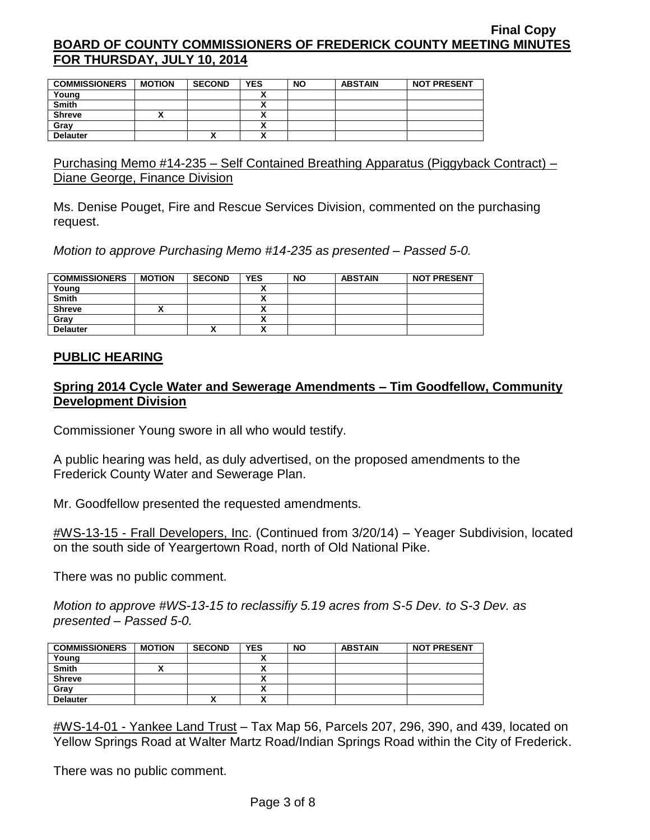| <b>COMMISSIONERS</b> | <b>MOTION</b> | <b>SECOND</b> | <b>YES</b> | <b>NO</b> | <b>ABSTAIN</b> | <b>NOT PRESENT</b> |
|----------------------|---------------|---------------|------------|-----------|----------------|--------------------|
| Young                |               |               |            |           |                |                    |
| <b>Smith</b>         |               |               |            |           |                |                    |
| <b>Shreve</b>        |               |               |            |           |                |                    |
| Gray                 |               |               |            |           |                |                    |
| <b>Delauter</b>      |               | ^             |            |           |                |                    |

Purchasing Memo #14-235 – Self Contained Breathing Apparatus (Piggyback Contract) – Diane George, Finance Division

Ms. Denise Pouget, Fire and Rescue Services Division, commented on the purchasing request.

*Motion to approve Purchasing Memo #14-235 as presented – Passed 5-0.*

| <b>COMMISSIONERS</b> | <b>MOTION</b> | <b>SECOND</b> | <b>YES</b> | <b>NO</b> | <b>ABSTAIN</b> | <b>NOT PRESENT</b> |
|----------------------|---------------|---------------|------------|-----------|----------------|--------------------|
| Young                |               |               |            |           |                |                    |
| Smith                |               |               |            |           |                |                    |
| <b>Shreve</b>        |               |               |            |           |                |                    |
| Gray                 |               |               |            |           |                |                    |
| <b>Delauter</b>      |               | Λ             |            |           |                |                    |

### **PUBLIC HEARING**

# **Spring 2014 Cycle Water and Sewerage Amendments – Tim Goodfellow, Community Development Division**

Commissioner Young swore in all who would testify.

A public hearing was held, as duly advertised, on the proposed amendments to the Frederick County Water and Sewerage Plan.

Mr. Goodfellow presented the requested amendments.

#WS-13-15 - Frall Developers, Inc. (Continued from 3/20/14) – Yeager Subdivision, located on the south side of Yeargertown Road, north of Old National Pike.

There was no public comment.

*Motion to approve #WS-13-15 to reclassifiy 5.19 acres from S-5 Dev. to S-3 Dev. as presented – Passed 5-0.*

| <b>COMMISSIONERS</b> | <b>MOTION</b> | <b>SECOND</b> | <b>YES</b> | <b>NO</b> | <b>ABSTAIN</b> | <b>NOT PRESENT</b> |
|----------------------|---------------|---------------|------------|-----------|----------------|--------------------|
| Young                |               |               |            |           |                |                    |
| <b>Smith</b>         |               |               |            |           |                |                    |
| <b>Shreve</b>        |               |               |            |           |                |                    |
| Gray                 |               |               |            |           |                |                    |
| <b>Delauter</b>      |               |               |            |           |                |                    |

#WS-14-01 - Yankee Land Trust – Tax Map 56, Parcels 207, 296, 390, and 439, located on Yellow Springs Road at Walter Martz Road/Indian Springs Road within the City of Frederick.

There was no public comment.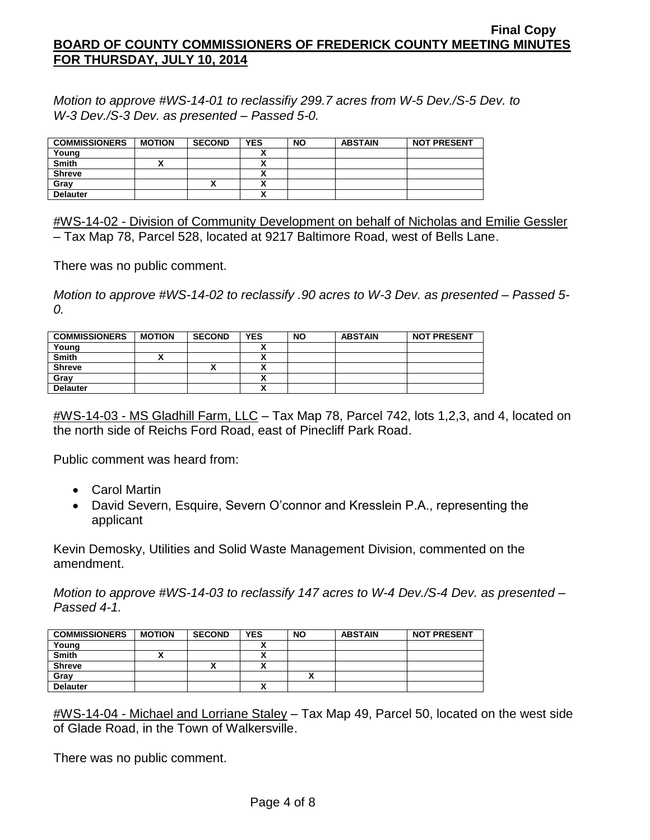*Motion to approve #WS-14-01 to reclassifiy 299.7 acres from W-5 Dev./S-5 Dev. to W-3 Dev./S-3 Dev. as presented – Passed 5-0.*

| <b>COMMISSIONERS</b> | <b>MOTION</b> | <b>SECOND</b> | <b>YES</b> | <b>NO</b> | <b>ABSTAIN</b> | <b>NOT PRESENT</b> |
|----------------------|---------------|---------------|------------|-----------|----------------|--------------------|
|                      |               |               |            |           |                |                    |
| Young                |               |               |            |           |                |                    |
| <b>Smith</b>         |               |               |            |           |                |                    |
| <b>Shreve</b>        |               |               |            |           |                |                    |
| Gray                 |               | ́             |            |           |                |                    |
| <b>Delauter</b>      |               |               |            |           |                |                    |

#WS-14-02 - Division of Community Development on behalf of Nicholas and Emilie Gessler – Tax Map 78, Parcel 528, located at 9217 Baltimore Road, west of Bells Lane.

There was no public comment.

*Motion to approve #WS-14-02 to reclassify .90 acres to W-3 Dev. as presented – Passed 5- 0.*

| <b>COMMISSIONERS</b> | <b>MOTION</b> | <b>SECOND</b> | <b>YES</b> | <b>NO</b> | <b>ABSTAIN</b> | <b>NOT PRESENT</b> |
|----------------------|---------------|---------------|------------|-----------|----------------|--------------------|
| Young                |               |               |            |           |                |                    |
| <b>Smith</b>         |               |               |            |           |                |                    |
| <b>Shreve</b>        |               | ,,            |            |           |                |                    |
| Gray                 |               |               |            |           |                |                    |
| <b>Delauter</b>      |               |               | ~          |           |                |                    |

#WS-14-03 - MS Gladhill Farm, LLC – Tax Map 78, Parcel 742, lots 1,2,3, and 4, located on the north side of Reichs Ford Road, east of Pinecliff Park Road.

Public comment was heard from:

- Carol Martin
- David Severn, Esquire, Severn O'connor and Kresslein P.A., representing the applicant

Kevin Demosky, Utilities and Solid Waste Management Division, commented on the amendment.

*Motion to approve #WS-14-03 to reclassify 147 acres to W-4 Dev./S-4 Dev. as presented – Passed 4-1.*

| <b>COMMISSIONERS</b> | <b>MOTION</b> | <b>SECOND</b> | <b>YES</b> | <b>NO</b> | <b>ABSTAIN</b> | <b>NOT PRESENT</b> |
|----------------------|---------------|---------------|------------|-----------|----------------|--------------------|
| Young                |               |               |            |           |                |                    |
| <b>Smith</b>         |               |               |            |           |                |                    |
| <b>Shreve</b>        |               | ́             | v          |           |                |                    |
| Gray                 |               |               |            |           |                |                    |
| <b>Delauter</b>      |               |               |            |           |                |                    |

#WS-14-04 - Michael and Lorriane Staley – Tax Map 49, Parcel 50, located on the west side of Glade Road, in the Town of Walkersville.

There was no public comment.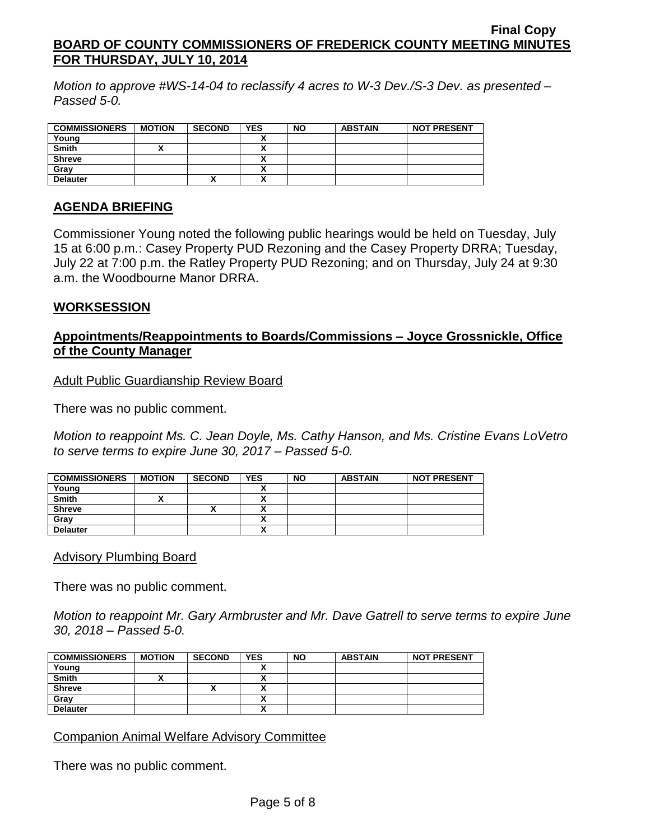*Motion to approve #WS-14-04 to reclassify 4 acres to W-3 Dev./S-3 Dev. as presented – Passed 5-0.*

| <b>COMMISSIONERS</b> | <b>MOTION</b> | <b>SECOND</b> | <b>YES</b> | <b>NO</b> | <b>ABSTAIN</b> | <b>NOT PRESENT</b> |
|----------------------|---------------|---------------|------------|-----------|----------------|--------------------|
| Young                |               |               |            |           |                |                    |
| <b>Smith</b>         |               |               |            |           |                |                    |
| <b>Shreve</b>        |               |               |            |           |                |                    |
| Gray                 |               |               |            |           |                |                    |
| <b>Delauter</b>      |               | ́             | ^          |           |                |                    |

### **AGENDA BRIEFING**

Commissioner Young noted the following public hearings would be held on Tuesday, July 15 at 6:00 p.m.: Casey Property PUD Rezoning and the Casey Property DRRA; Tuesday, July 22 at 7:00 p.m. the Ratley Property PUD Rezoning; and on Thursday, July 24 at 9:30 a.m. the Woodbourne Manor DRRA.

#### **WORKSESSION**

# **Appointments/Reappointments to Boards/Commissions – Joyce Grossnickle, Office of the County Manager**

Adult Public Guardianship Review Board

There was no public comment.

*Motion to reappoint Ms. C. Jean Doyle, Ms. Cathy Hanson, and Ms. Cristine Evans LoVetro to serve terms to expire June 30, 2017 – Passed 5-0.*

| <b>COMMISSIONERS</b> | <b>MOTION</b> | <b>SECOND</b> | <b>YES</b>               | <b>NO</b> | <b>ABSTAIN</b> | <b>NOT PRESENT</b> |
|----------------------|---------------|---------------|--------------------------|-----------|----------------|--------------------|
| Young                |               |               |                          |           |                |                    |
| <b>Smith</b>         |               |               |                          |           |                |                    |
| <b>Shreve</b>        |               |               | v                        |           |                |                    |
| Gray                 |               |               | $\overline{\phantom{a}}$ |           |                |                    |
| <b>Delauter</b>      |               |               |                          |           |                |                    |

#### Advisory Plumbing Board

There was no public comment.

*Motion to reappoint Mr. Gary Armbruster and Mr. Dave Gatrell to serve terms to expire June 30, 2018 – Passed 5-0.*

| <b>COMMISSIONERS</b> | <b>MOTION</b> | <b>SECOND</b> | <b>YES</b> | <b>NO</b> | <b>ABSTAIN</b> | <b>NOT PRESENT</b> |
|----------------------|---------------|---------------|------------|-----------|----------------|--------------------|
| Young                |               |               |            |           |                |                    |
| Smith                |               |               |            |           |                |                    |
| <b>Shreve</b>        |               | ́             |            |           |                |                    |
| Gray                 |               |               |            |           |                |                    |
| <b>Delauter</b>      |               |               | ~          |           |                |                    |

Companion Animal Welfare Advisory Committee

There was no public comment.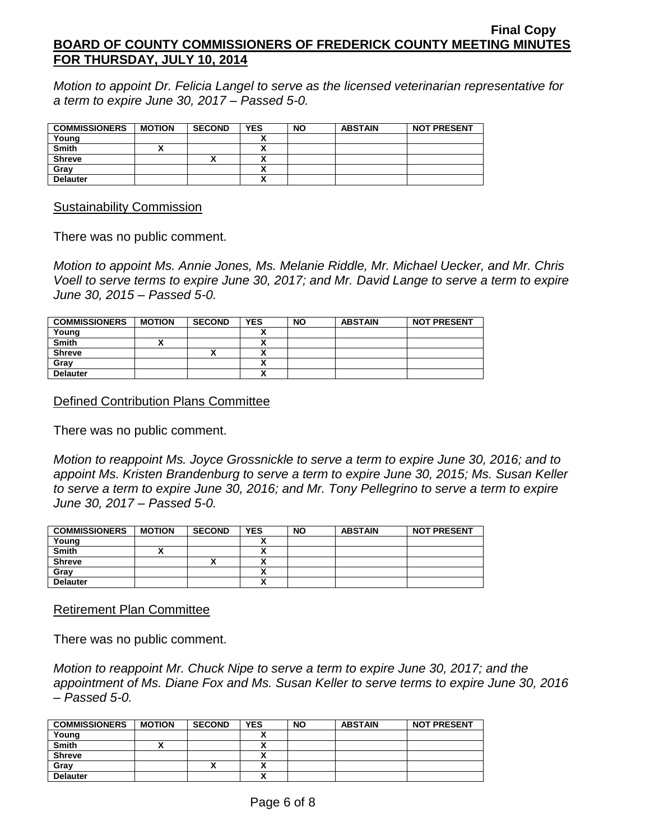*Motion to appoint Dr. Felicia Langel to serve as the licensed veterinarian representative for a term to expire June 30, 2017 – Passed 5-0.*

| <b>COMMISSIONERS</b> | <b>MOTION</b> | <b>SECOND</b> | <b>YES</b> | <b>NO</b> | <b>ABSTAIN</b> | <b>NOT PRESENT</b> |
|----------------------|---------------|---------------|------------|-----------|----------------|--------------------|
| Young                |               |               |            |           |                |                    |
| <b>Smith</b>         |               |               |            |           |                |                    |
| <b>Shreve</b>        |               |               |            |           |                |                    |
| Gray                 |               |               |            |           |                |                    |
| <b>Delauter</b>      |               |               |            |           |                |                    |

Sustainability Commission

There was no public comment.

*Motion to appoint Ms. Annie Jones, Ms. Melanie Riddle, Mr. Michael Uecker, and Mr. Chris Voell to serve terms to expire June 30, 2017; and Mr. David Lange to serve a term to expire June 30, 2015 – Passed 5-0.*

| <b>COMMISSIONERS</b> | <b>MOTION</b> | <b>SECOND</b> | <b>YES</b> | <b>NO</b> | <b>ABSTAIN</b> | <b>NOT PRESENT</b> |
|----------------------|---------------|---------------|------------|-----------|----------------|--------------------|
| Young                |               |               |            |           |                |                    |
| <b>Smith</b>         |               |               |            |           |                |                    |
| <b>Shreve</b>        |               | Λ             |            |           |                |                    |
| Gray                 |               |               |            |           |                |                    |
| <b>Delauter</b>      |               |               |            |           |                |                    |

Defined Contribution Plans Committee

There was no public comment.

*Motion to reappoint Ms. Joyce Grossnickle to serve a term to expire June 30, 2016; and to appoint Ms. Kristen Brandenburg to serve a term to expire June 30, 2015; Ms. Susan Keller to serve a term to expire June 30, 2016; and Mr. Tony Pellegrino to serve a term to expire June 30, 2017 – Passed 5-0.*

| <b>COMMISSIONERS</b> | <b>MOTION</b> | <b>SECOND</b> | <b>YES</b> | <b>NO</b> | <b>ABSTAIN</b> | <b>NOT PRESENT</b> |
|----------------------|---------------|---------------|------------|-----------|----------------|--------------------|
| Young                |               |               |            |           |                |                    |
| <b>Smith</b>         |               |               | ٠.<br>~    |           |                |                    |
| <b>Shreve</b>        |               |               |            |           |                |                    |
| Gray                 |               |               | ٠.         |           |                |                    |
| <b>Delauter</b>      |               |               | ٠.<br>^    |           |                |                    |

Retirement Plan Committee

There was no public comment.

*Motion to reappoint Mr. Chuck Nipe to serve a term to expire June 30, 2017; and the appointment of Ms. Diane Fox and Ms. Susan Keller to serve terms to expire June 30, 2016 – Passed 5-0.*

| <b>COMMISSIONERS</b> | <b>MOTION</b> | <b>SECOND</b> | <b>YES</b> | <b>NO</b> | <b>ABSTAIN</b> | <b>NOT PRESENT</b> |
|----------------------|---------------|---------------|------------|-----------|----------------|--------------------|
| Young                |               |               |            |           |                |                    |
| <b>Smith</b>         |               |               |            |           |                |                    |
| <b>Shreve</b>        |               |               |            |           |                |                    |
| Grav                 |               | ↗             |            |           |                |                    |
| <b>Delauter</b>      |               |               |            |           |                |                    |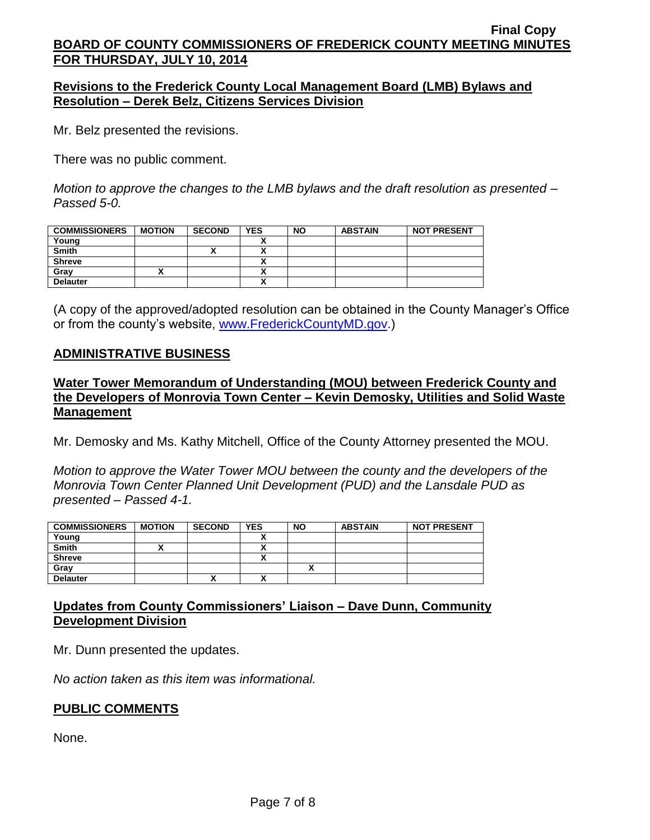### **Revisions to the Frederick County Local Management Board (LMB) Bylaws and Resolution – Derek Belz, Citizens Services Division**

Mr. Belz presented the revisions.

There was no public comment.

*Motion to approve the changes to the LMB bylaws and the draft resolution as presented – Passed 5-0.*

| <b>COMMISSIONERS</b> | <b>MOTION</b> | <b>SECOND</b> | <b>YES</b> | <b>NO</b> | <b>ABSTAIN</b> | <b>NOT PRESENT</b> |
|----------------------|---------------|---------------|------------|-----------|----------------|--------------------|
| Young                |               |               |            |           |                |                    |
| <b>Smith</b>         |               |               |            |           |                |                    |
| <b>Shreve</b>        |               |               |            |           |                |                    |
| Gray                 |               |               |            |           |                |                    |
| <b>Delauter</b>      |               |               |            |           |                |                    |

(A copy of the approved/adopted resolution can be obtained in the County Manager's Office or from the county's website, [www.FrederickCountyMD.gov.](http://www.frederickcountymd.gov/))

### **ADMINISTRATIVE BUSINESS**

### **Water Tower Memorandum of Understanding (MOU) between Frederick County and the Developers of Monrovia Town Center – Kevin Demosky, Utilities and Solid Waste Management**

Mr. Demosky and Ms. Kathy Mitchell, Office of the County Attorney presented the MOU.

*Motion to approve the Water Tower MOU between the county and the developers of the Monrovia Town Center Planned Unit Development (PUD) and the Lansdale PUD as presented – Passed 4-1.*

| <b>COMMISSIONERS</b> | <b>MOTION</b> | <b>SECOND</b> | <b>YES</b> | <b>NO</b> | <b>ABSTAIN</b> | <b>NOT PRESENT</b> |
|----------------------|---------------|---------------|------------|-----------|----------------|--------------------|
| Young                |               |               | v          |           |                |                    |
| <b>Smith</b>         |               |               |            |           |                |                    |
| <b>Shreve</b>        |               |               | ٠.<br>~    |           |                |                    |
| Gray                 |               |               |            |           |                |                    |
| <b>Delauter</b>      |               |               | ٠.         |           |                |                    |

# **Updates from County Commissioners' Liaison – Dave Dunn, Community Development Division**

Mr. Dunn presented the updates.

*No action taken as this item was informational.*

# **PUBLIC COMMENTS**

None.